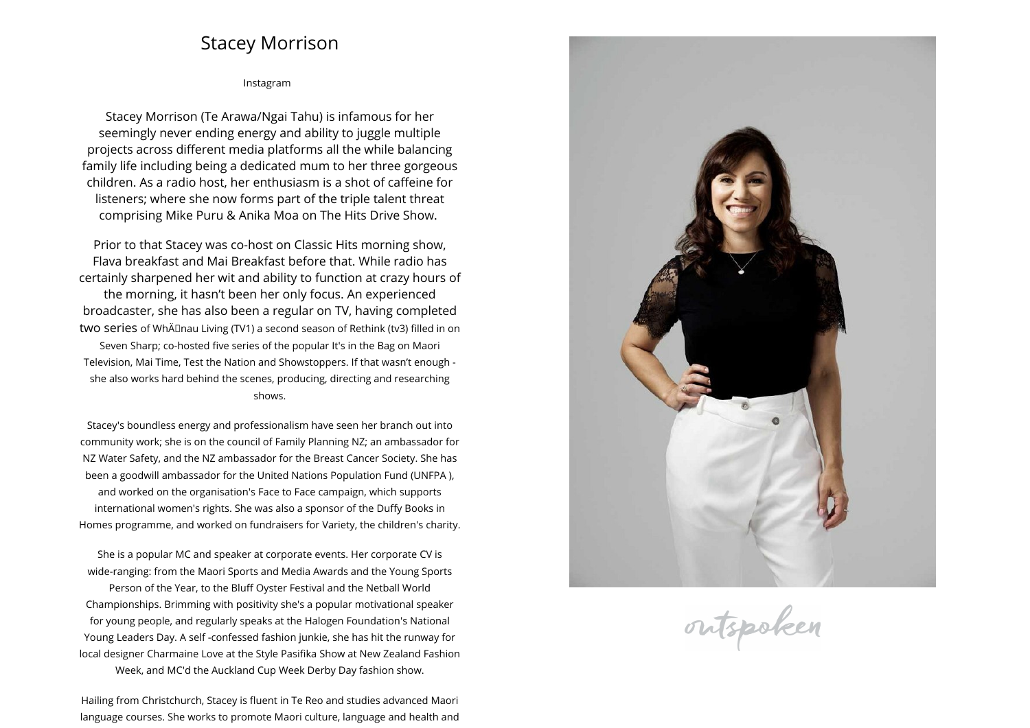## **Stacey Morrison**

## **[Instagram](https://www.instagram.com/stacedotcom)**

**Stacey Morrison (Te Arawa/Ngai Tahu) is infamous for her seemingly never ending energy and ability to juggle multiple projects across different media <sup>p</sup>latforms all the while balancing family life including being <sup>a</sup> dedicated mum to her three gorgeous children. As <sup>a</sup> radio host, her enthusiasm is <sup>a</sup> shot of caffeine for listeners; where she now forms part of the triple talent threat comprising Mike Puru & Anika Moa on The Hits Drive Show.** 

**Prior to that Stacey was co-host on Classic Hits morning show, Flava breakfast and Mai Breakfast before that. While radio has certainly sharpened her wit and ability to function at crazy hours of the morning, it hasn't been her only focus. An experienced broadcaster, she has also been <sup>a</sup> regular on TV, having completed two series of WhÄnau Living (TV1) <sup>a</sup> second season of Rethink (tv3) filled in on Seven Sharp; co-hosted five series of the popular It's in the Bag on Maori Television, Mai Time, Test the Nation and Showstoppers. If that wasn't enoug<sup>h</sup> she also works hard behind the scenes, producing, directing and researching shows.**

**Stacey's boundless energy and professionalism have seen her branch out into community work; she is on the council of Family Planning NZ; an ambassador for NZ Water Safety, and the NZ ambassador for the Breast Cancer Society. She has been <sup>a</sup> goodwill ambassador for the United Nations Population Fund (UNFPA ), and worked on the organisation's Face to Face campaign, which supports international women's rights. She was also <sup>a</sup> sponsor of the Duffy Books inHomes programme, and worked on fundraisers for Variety, the children's charity.**

**She is <sup>a</sup> popular MC and speaker at corporate events. Her corporate CV is wide-ranging: from the Maori Sports and Media Awards and the Young Sports Person of the Year, to the Bluff Oyster Festival and the Netball World Championships. Brimming with positivity she's <sup>a</sup> popular motivational speaker for young people, and regularly speaks at the Halogen Foundation's National Young Leaders Day. <sup>A</sup> self -confessed fashion junkie, she has hit the runway for local designer Charmaine Love at the Style Pasifika Show at New Zealand Fashion Week, and MC'd the Auckland Cup Week Derby Day fashion show.**

**Hailing from Christchurch, Stacey is fluent in Te Reo and studies advanced Maori language courses. She works to promote Maori culture, language and health and**



outspoken